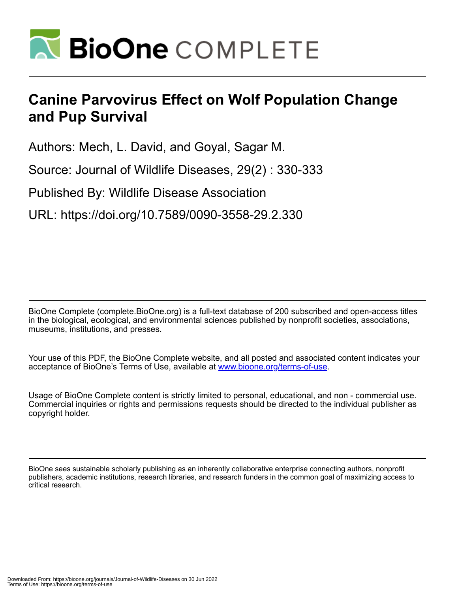

## **Canine Parvovirus Effect on Wolf Population Change and Pup Survival**

Authors: Mech, L. David, and Goyal, Sagar M.

Source: Journal of Wildlife Diseases, 29(2) : 330-333

Published By: Wildlife Disease Association

URL: https://doi.org/10.7589/0090-3558-29.2.330

BioOne Complete (complete.BioOne.org) is a full-text database of 200 subscribed and open-access titles in the biological, ecological, and environmental sciences published by nonprofit societies, associations, museums, institutions, and presses.

Your use of this PDF, the BioOne Complete website, and all posted and associated content indicates your acceptance of BioOne's Terms of Use, available at www.bioone.org/terms-of-use.

Usage of BioOne Complete content is strictly limited to personal, educational, and non - commercial use. Commercial inquiries or rights and permissions requests should be directed to the individual publisher as copyright holder.

BioOne sees sustainable scholarly publishing as an inherently collaborative enterprise connecting authors, nonprofit publishers, academic institutions, research libraries, and research funders in the common goal of maximizing access to critical research.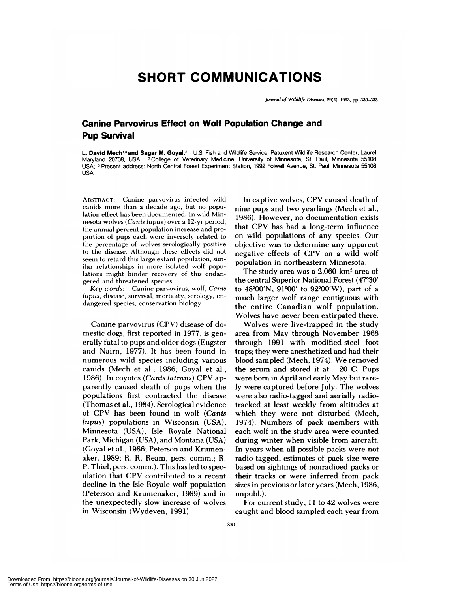## **SHORT COMMUNICATIONS**

*Journal of Wildlife Diseases,* 29(2), 1993, pp. 330-333

## **Canine Parvovirus Effect on Wolf Population Change and Pup Survival**

**L. David Mech'3 and Sagar M. Goyal,2** 'U.S. Fish and Wildlife Service, Patuxent Wildlife Research Center, Laurel, Maryland 20708, USA; **<sup>2</sup>** College of Veterinary Medicine, University of Minnesota, St. Paul, Minnesota 55108, USA; Present address: North Central Forest Experiment Station, 1992 FoIwell Avenue, St. Paul, Minnesota 55108, USA

**ABSTRACT: Canine panvovirus infected** wild canids more than a decade ago, but no population effect has been documented. In wild Mm nesota wolves *(Canis lupus)* over a 12-yr period, the annual percent population increase and proportion of pups each were inversely related to the percentage of wolves serologically positive to the disease. Although these effects did not seem to retard this large extant population, similar relationships in more isolated wolf populations might hinder recovery of this endan gered and threatened species.

*Key words:* Canine panvovirus, wolf, *Canis lupus,* disease, survival, mortality, serology, en dangered species, conservation biology.

Canine parvovirus (CPV) disease of domestic dogs, first reported in 1977, is generally fatal to pups and older dogs (Eugster and Nairn, 1977). It has been found in numerous wild species including various canids (Mech et al., 1986; Goyal et al., 1986). In coyotes *(Canis latrans)* CPV apparently caused death of pups when the populations first contracted the disease (Thomas et a!., 1984). Serological evidence of CPV has been found in wolf *(Canis lupus)* populations in Wisconsin (USA), Minnesota (USA), Isle Royale National Park, Michigan (USA), and Montana (USA) (Goyal et al., 1986; Peterson and Krumenaker, 1989; R. R. Ream, pers. comm.; R. P. Thie!, pers. comm.). This has led to speculation that CPV contributed to a recent decline in the Isle Royale wolf population (Peterson and Krumenaker, 1989) and in the unexpectedly slow increase of wolves in Wisconsin (Wydeven, 1991).

In captive wolves, CPV caused death of nine pups and two yearlings (Mech et a!., 1986). However, no documentation exists that CPV has had a long-term influence on wild populations of any species. Our objective was to determine any apparent negative effects of CPV on a wild wolf population in northeastern Minnesota.

The study area was a 2,060-km2 area of the central Superior National Forest (47°30' to  $48°00'$ N,  $91°00'$  to  $92°00'$ W), part of a much larger wolf range contiguous with the entire Canadian wolf population. Wolves have never been extirpated there.

Wolves were live-trapped in the study area from May through November 1968 through 1991 with modified-steel foot traps; they were anesthetized and had their blood sampled (Mech, 1974). We removed the serum and stored it at  $-20$  C. Pups were born in April and early May but rarely were captured before July. The wolves were also radio-tagged and aerially radiotracked at least weekly from altitudes at which they were not disturbed (Mech, 1974). Numbers of pack members with each wolf in the study area were counted during winter when visible from aircraft. In years when all possible packs were not radio-tagged, estimates of pack size were based on sightings of nonradioed packs or their tracks or were inferred from pack sizes in previous or later years (Mech, 1986, unpub!.).

For current study, 11 to 42 wolves were caught and blood sampled each year from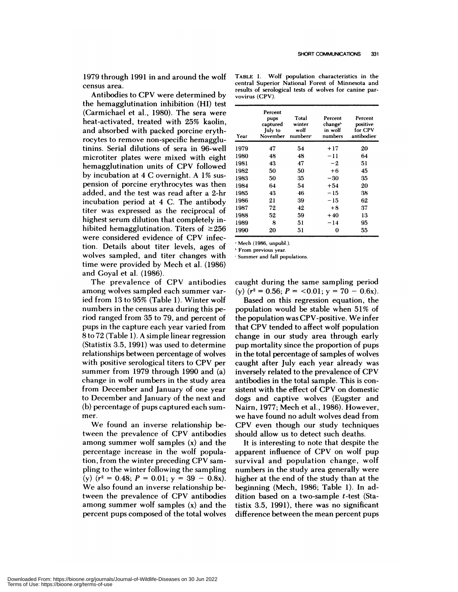1979 through 1991 in and around the wolf census area.

Antibodies to CPV were determined by the hemagglutination inhibition (HI) test (Carmichael et a!., 1980). The sera were heat-activated, treated with 25% kaolin, and absorbed with packed porcine erythrocytes to remove non-specific hemagglutinins. Serial dilutions of sera in 96-well microtiter plates were mixed with eight hemagglutination units of CPV followed by incubation at 4 C overnight. A 1% sus pension of porcine erythrocytes was then added, and the test was read after a 2-hr incubation period at 4 C. The antibody titer was expressed as the reciprocal of highest serum dilution that completely inhibited hemagglutination. Titers of  $\geq 256$ were considered evidence of CPV infection. Details about titer levels, ages of wolves sampled, and titer changes with time were provided by Mech et a!. (1986) and Goyal et al. (1986).

The prevalence of CPV antibodies among wolves sampled each summer varied from 13 to 95% (Table 1). Winter wolf numbers in the census area during this period ranged from 35 to 79, and percent of pups in the capture each year varied from 8 to 72 (Table 1). A simple linear regression (Statistix 3.5, 1991) was used to determine relationships between percentage of wolves with positive serological titers to CPV per summer from 1979 through 1990 and (a) change in wolf numbers in the study area from December and January of one year to December and January of the next and (b) percentage of pups captured each sum mer.<br>We found an inverse relationship be-

tween the prevalence of CPV antibodies among summer wolf samples (x) and the percentage increase in the wolf population, from the winter preceding CPV sam pling to the winter following the sampling  $(y)$   $(r^2 = 0.48; P = 0.01; y = 39 - 0.8x).$ We also found an inverse relationship between the prevalence of CPV antibodies among summer wolf samples (x) and the percent pups composed of the total wolves

**TABLE** 1. Wolf population characteristics in the central Superior National Forest of Minnesota and **results of serological tests of wolves for canine par vovirus (CPV).**

| Year | Percent<br>pups<br>captured<br>July to<br>November | Total<br>winter<br>wolf<br>numbers <sup>.</sup> | Percent<br>change <sup>}</sup><br>in wolf<br>numbers | Percent<br>positive<br>for CPV<br>antibodies |
|------|----------------------------------------------------|-------------------------------------------------|------------------------------------------------------|----------------------------------------------|
| 1979 | 47                                                 | 54                                              | $+17$                                                | 20                                           |
| 1980 | 48                                                 | 48                                              | -11                                                  | 64                                           |
| 1981 | 43                                                 | 47                                              | -2                                                   | 51                                           |
| 1982 | 50                                                 | 50                                              | $+6$                                                 | 45                                           |
| 1983 | 50                                                 | 35                                              | $-30$                                                | 35                                           |
| 1984 | 64                                                 | 54                                              | $+54$                                                | 20                                           |
| 1985 | 43                                                 | 46                                              | - 15                                                 | 38                                           |
| 1986 | 21                                                 | 39                                              | $-15$                                                | 62                                           |
| 1987 | 72                                                 | 42                                              | $+8$                                                 | 37                                           |
| 1988 | 52                                                 | 59                                              | $+40$                                                | 13                                           |
| 1989 | 8                                                  | 51                                              | $-14$                                                | 95                                           |
| 1990 | 20                                                 | 51                                              | 0                                                    | 55                                           |

**Mech** (1986, unpubl.).

**'From** previous year.

Summer and fall populations.

caught during the same sampling period  $(y)$   $(r^2 = 0.56; P = <0.01; y = 70 - 0.6x)$ .

Based on this regression equation, the population would be stable when 51% of the population was CPV-positive. We infer that CPV tended to affect wolf population change in our study area through early pup mortality since the proportion of pups in the total percentage of samples of wolves caught after July each year already was inversely related to the prevalence of CPV antibodies in the total sample. This is con sistent with the effect of CPV on domestic dogs and captive wolves (Eugster and Nairn, 1977; Mech et al., 1986). However, we have found no adult wolves dead from CPV even though our study techniques should allow us to detect such deaths.

It is interesting to note that despite the apparent influence of CPV on wolf pup survival and population change, wolf numbers in the study area generally were higher at the end of the study than at the beginning (Mech, 1986; Table 1). In addition based on a two-sample t-test (Statistix 3.5, 1991), there was no significant difference between the mean percent pups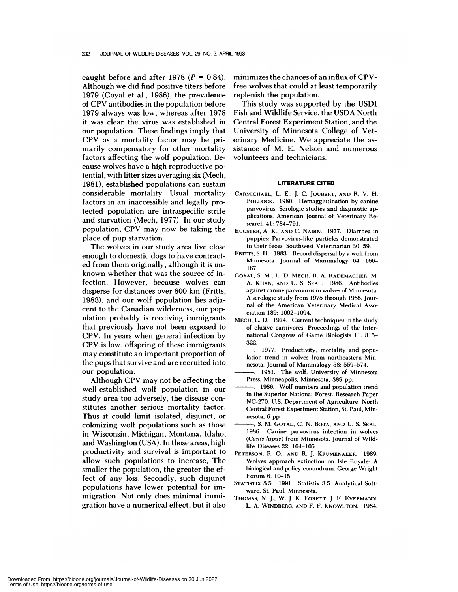caught before and after 1978  $(P = 0.84)$ . Although we did find positive titers before 1979 (Goyal et a!., 1986), the prevalence of CPV antibodies in the population before 1979 always was low, whereas after 1978 it was clear the virus was established in our population. These findings imply that CPV as a mortality factor may be primarily compensatory for other mortality factors affecting the wolf population. Be cause wolves have a high reproductive p0 tential, with litter sizes averaging six (Mech, 1981), established populations can sustain considerable mortality. Usual mortality factors in an inaccessible and legally protected population are intraspecific strife and starvation (Mech, 1977). In our study population, CPV may now be taking the place of pup starvation.

The wolves in our study area live close enough to domestic dogs to have contracted from them originally, although it is un known whether that was the source of infection. However, because wolves can disperse for distances over 800 km (Fritts, 1983), and our wolf population lies adjacent to the Canadian wilderness, our population probably is receiving immigrants that previously have not been exposed to CPV. In years when general infection by CPV is low, offspring of these immigrants may constitute an important proportion of the pups that survive and are recruited into our population.

Although CPV may not be affecting the well-established wolf population in our study area too adversely, the disease con stitutes another serious mortality factor. Thus it could limit isolated, disjunct, or colonizing wolf populations such as those in Wisconsin, Michigan, Montana, Idaho, and Washington (USA). In those areas, high productivity and survival is important to allow such populations to increase, The smaller the population, the greater the effect of any loss. Secondly, such disjunct populations have lower potential for immigration. Not only does minimal immigration have a numerical effect, but it also minimizes the chances of an influx of CPVfree wolves that could at least temporarily replenish the population.

This study was supported by the USD1 Fish and Wildlife Service, the USDA North Central Forest Experiment Station, and the University of Minnesota College of Veterinary Medicine. We appreciate the as sistance of M. E. Nelson and numerous volunteers and technicians.

## **LITERATURE CITED**

- **CARMICHAEL,** L. E. *,* J. C. **JOUBERT, AND** R. **V.** H. POLLOCK. 1980. Hemagglutination by canine parvovirus: Serologic studies and diagnostic ap plications. American Journal of Veterinary Re**search** 41: 784-791.
- **EUGSTER, A.** K. *,* **AND** C. NAIRN. 1977. Diarrhea in **puppies: Parvovirus-like particles demonstrated** in their feces. Southwest Veterinarian 30: 59.
- FRITTS, S. H. 1983. Record dispersal by a wolf from Minnesota. Journal of Mammalogy **64:** 166- 167.
- **GOYAL,** S. M., L. D. **MECH, H. A. RADEMACHER, M.** A. **KHAN, AND** U. S. **SEAL.** 1986. Antibodies against canine parvovirus in wolves of Minnesota: A serologic study from 1975 through 1985. Jour nal of the American Veterinary Medical Asso ciation 189: 1092-1094.
- **MECH,** L. D. 1974. Current techniques in the study of elusive carnivores. Proceedings of the Inter national Congress of Game Biologists 11: 315- 322.
- 1977. Productivity, mortality and population trend in wolves from northeastern Min nesota. Journal of Mammalogy 58: 559-574.
- 1981. The wolf. University of Minnesota **Press, Minneapolis, Minnesota,** 389 pp.
- 1986. Wolf numbers and population trend in the Superior National Forest. Research Paper NC-270. U.S. Department of Agriculture, North **Central Forest Experiment Station,** St. Paul, Min nesota, 6 pp.
- S. M. **GOYAL,** C. N. **BOTA, AND** U. S. **SEAL.** 1986. Canine parvovirus infection in wolves *(Canis lupus)* from Minnesota. Journal of Wildlife Diseases 22: 104-105.
- **PETERSON,** H. 0., **AND** H. J. **KRUMENAKER.** 1989. Wolves approach extinction on Isle Royale: A biological and policy conundrum. George **Wright** Forum 6: 10-15.
- **STATISTIx** 3.5. 1991. Statistix 3.5. Analytical Soft ware, St. Paul, Minnesota.
- **THOMAS,** N. J., W. J. K. **FOREYT,** J. F. EVERMANN, L. A. **WINDBERG, AND** F. F. **KNOWLTON.** 1984.